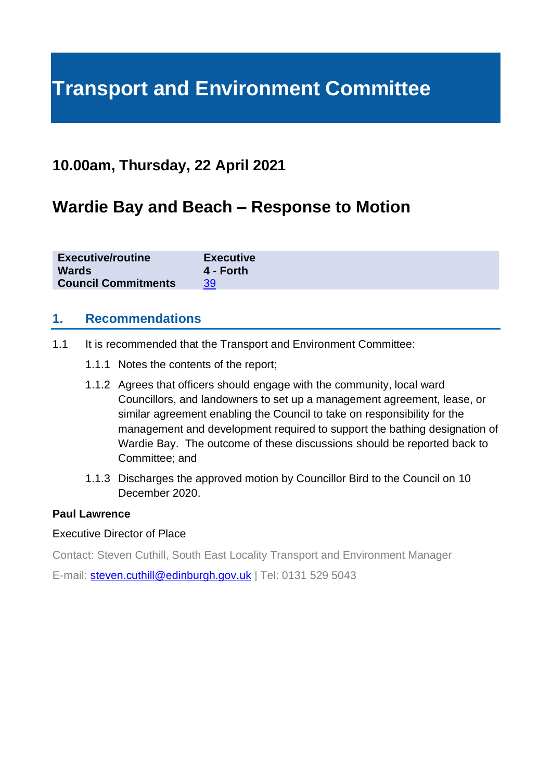# **Transport and Environment Committee**

# **10.00am, Thursday, 22 April 2021**

# **Wardie Bay and Beach – Response to Motion**

| <b>Executive/routine</b>         | <b>Executive</b> |
|----------------------------------|------------------|
| <b>Wards</b>                     | 4 - Forth        |
| <b>Council Commitments</b><br>39 |                  |

## **1. Recommendations**

- 1.1 It is recommended that the Transport and Environment Committee:
	- 1.1.1 Notes the contents of the report;
	- 1.1.2 Agrees that officers should engage with the community, local ward Councillors, and landowners to set up a management agreement, lease, or similar agreement enabling the Council to take on responsibility for the management and development required to support the bathing designation of Wardie Bay. The outcome of these discussions should be reported back to Committee; and
	- 1.1.3 Discharges the approved motion by Councillor Bird to the Council on 10 December 2020.

#### **Paul Lawrence**

#### Executive Director of Place

Contact: Steven Cuthill, South East Locality Transport and Environment Manager

E-mail: [steven.cuthill@edinburgh.gov.uk](mailto:steven.cuthill@edinburgh.gov.uk) | Tel: 0131 529 5043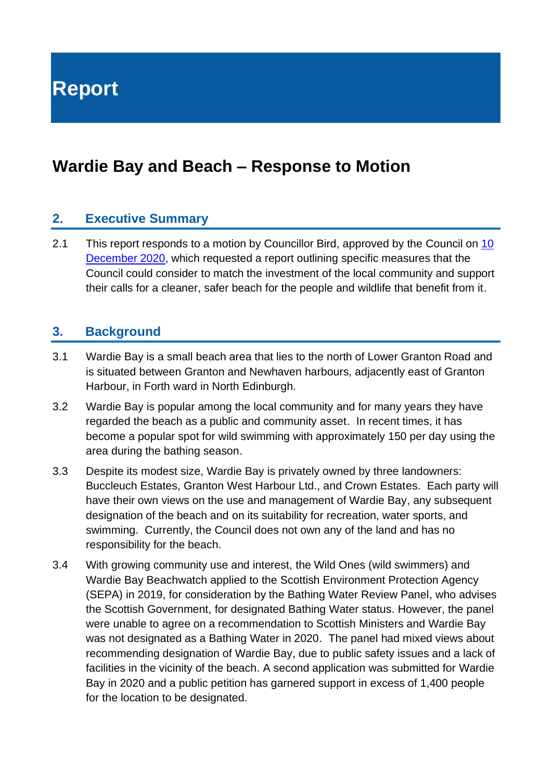**Report**

# **Wardie Bay and Beach – Response to Motion**

## **2. Executive Summary**

2.1 This report responds to a motion by Councillor Bird, approved by the Council on 10 [December 2020,](https://democracy.edinburgh.gov.uk/documents/s31087/Item%204.1%20-%20Minute%20of%2010%20December%202020.pdf) which requested a report outlining specific measures that the Council could consider to match the investment of the local community and support their calls for a cleaner, safer beach for the people and wildlife that benefit from it.

## **3. Background**

- 3.1 Wardie Bay is a small beach area that lies to the north of Lower Granton Road and is situated between Granton and Newhaven harbours, adjacently east of Granton Harbour, in Forth ward in North Edinburgh.
- 3.2 Wardie Bay is popular among the local community and for many years they have regarded the beach as a public and community asset. In recent times, it has become a popular spot for wild swimming with approximately 150 per day using the area during the bathing season.
- 3.3 Despite its modest size, Wardie Bay is privately owned by three landowners: Buccleuch Estates, Granton West Harbour Ltd., and Crown Estates. Each party will have their own views on the use and management of Wardie Bay, any subsequent designation of the beach and on its suitability for recreation, water sports, and swimming. Currently, the Council does not own any of the land and has no responsibility for the beach.
- 3.4 With growing community use and interest, the Wild Ones (wild swimmers) and Wardie Bay Beachwatch applied to the Scottish Environment Protection Agency (SEPA) in 2019, for consideration by the Bathing Water Review Panel, who advises the Scottish Government, for designated Bathing Water status. However, the panel were unable to agree on a recommendation to Scottish Ministers and Wardie Bay was not designated as a Bathing Water in 2020. The panel had mixed views about recommending designation of Wardie Bay, due to public safety issues and a lack of facilities in the vicinity of the beach. A second application was submitted for Wardie Bay in 2020 and a public petition has garnered support in excess of 1,400 people for the location to be designated.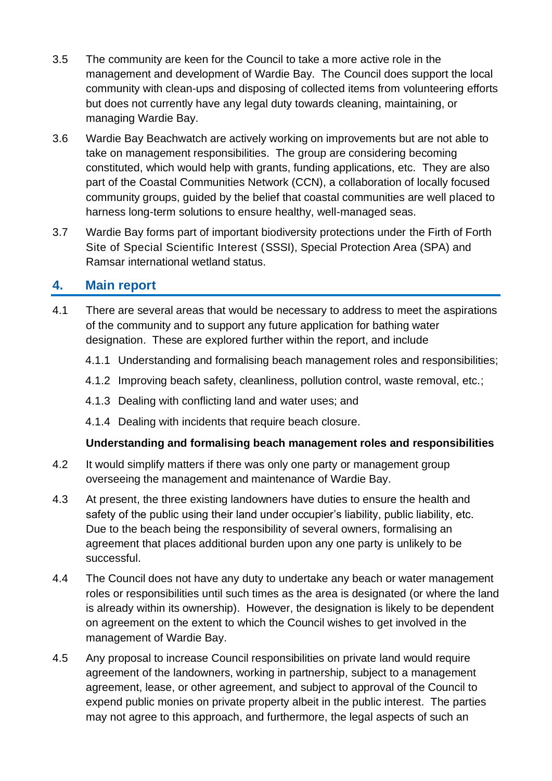- 3.5 The community are keen for the Council to take a more active role in the management and development of Wardie Bay. The Council does support the local community with clean-ups and disposing of collected items from volunteering efforts but does not currently have any legal duty towards cleaning, maintaining, or managing Wardie Bay.
- 3.6 Wardie Bay Beachwatch are actively working on improvements but are not able to take on management responsibilities. The group are considering becoming constituted, which would help with grants, funding applications, etc. They are also part of the Coastal Communities Network (CCN), a collaboration of locally focused community groups, guided by the belief that coastal communities are well placed to harness long-term solutions to ensure healthy, well-managed seas.
- 3.7 Wardie Bay forms part of important biodiversity protections under the Firth of Forth Site of Special Scientific Interest (SSSI), Special Protection Area (SPA) and Ramsar international wetland status.

# **4. Main report**

- 4.1 There are several areas that would be necessary to address to meet the aspirations of the community and to support any future application for bathing water designation. These are explored further within the report, and include
	- 4.1.1 Understanding and formalising beach management roles and responsibilities;
	- 4.1.2 Improving beach safety, cleanliness, pollution control, waste removal, etc.;
	- 4.1.3 Dealing with conflicting land and water uses; and
	- 4.1.4 Dealing with incidents that require beach closure.

#### **Understanding and formalising beach management roles and responsibilities**

- 4.2 It would simplify matters if there was only one party or management group overseeing the management and maintenance of Wardie Bay.
- 4.3 At present, the three existing landowners have duties to ensure the health and safety of the public using their land under occupier's liability, public liability, etc. Due to the beach being the responsibility of several owners, formalising an agreement that places additional burden upon any one party is unlikely to be successful.
- 4.4 The Council does not have any duty to undertake any beach or water management roles or responsibilities until such times as the area is designated (or where the land is already within its ownership). However, the designation is likely to be dependent on agreement on the extent to which the Council wishes to get involved in the management of Wardie Bay.
- 4.5 Any proposal to increase Council responsibilities on private land would require agreement of the landowners, working in partnership, subject to a management agreement, lease, or other agreement, and subject to approval of the Council to expend public monies on private property albeit in the public interest. The parties may not agree to this approach, and furthermore, the legal aspects of such an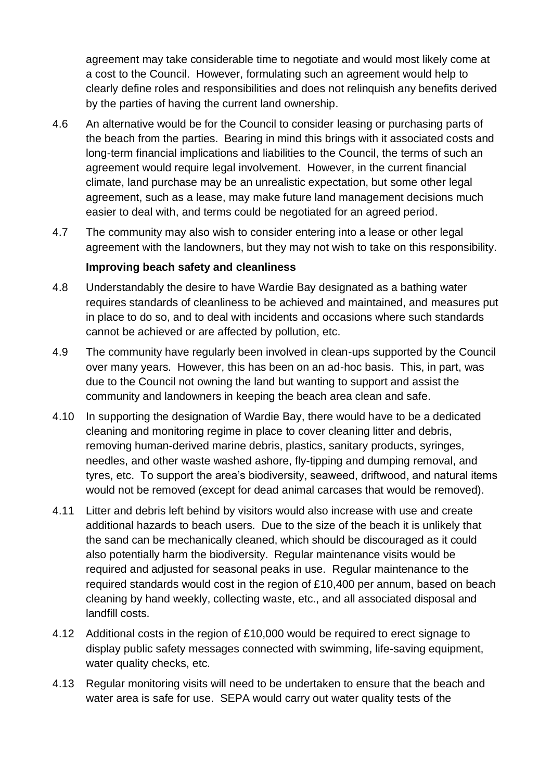agreement may take considerable time to negotiate and would most likely come at a cost to the Council. However, formulating such an agreement would help to clearly define roles and responsibilities and does not relinquish any benefits derived by the parties of having the current land ownership.

- 4.6 An alternative would be for the Council to consider leasing or purchasing parts of the beach from the parties. Bearing in mind this brings with it associated costs and long-term financial implications and liabilities to the Council, the terms of such an agreement would require legal involvement. However, in the current financial climate, land purchase may be an unrealistic expectation, but some other legal agreement, such as a lease, may make future land management decisions much easier to deal with, and terms could be negotiated for an agreed period.
- 4.7 The community may also wish to consider entering into a lease or other legal agreement with the landowners, but they may not wish to take on this responsibility.

#### **Improving beach safety and cleanliness**

- 4.8 Understandably the desire to have Wardie Bay designated as a bathing water requires standards of cleanliness to be achieved and maintained, and measures put in place to do so, and to deal with incidents and occasions where such standards cannot be achieved or are affected by pollution, etc.
- 4.9 The community have regularly been involved in clean-ups supported by the Council over many years. However, this has been on an ad-hoc basis. This, in part, was due to the Council not owning the land but wanting to support and assist the community and landowners in keeping the beach area clean and safe.
- 4.10 In supporting the designation of Wardie Bay, there would have to be a dedicated cleaning and monitoring regime in place to cover cleaning litter and debris, removing human-derived marine debris, plastics, sanitary products, syringes, needles, and other waste washed ashore, fly-tipping and dumping removal, and tyres, etc. To support the area's biodiversity, seaweed, driftwood, and natural items would not be removed (except for dead animal carcases that would be removed).
- 4.11 Litter and debris left behind by visitors would also increase with use and create additional hazards to beach users. Due to the size of the beach it is unlikely that the sand can be mechanically cleaned, which should be discouraged as it could also potentially harm the biodiversity. Regular maintenance visits would be required and adjusted for seasonal peaks in use. Regular maintenance to the required standards would cost in the region of £10,400 per annum, based on beach cleaning by hand weekly, collecting waste, etc., and all associated disposal and landfill costs.
- 4.12 Additional costs in the region of £10,000 would be required to erect signage to display public safety messages connected with swimming, life-saving equipment, water quality checks, etc.
- 4.13 Regular monitoring visits will need to be undertaken to ensure that the beach and water area is safe for use. SEPA would carry out water quality tests of the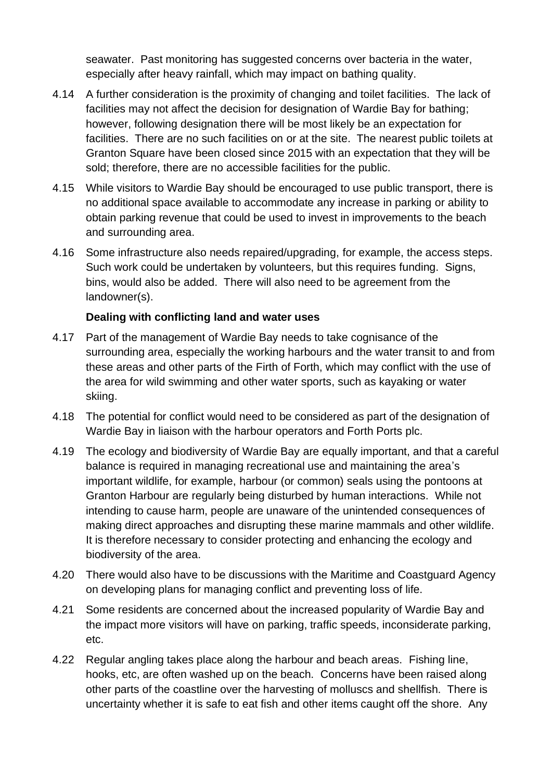seawater. Past monitoring has suggested concerns over bacteria in the water, especially after heavy rainfall, which may impact on bathing quality.

- 4.14 A further consideration is the proximity of changing and toilet facilities. The lack of facilities may not affect the decision for designation of Wardie Bay for bathing: however, following designation there will be most likely be an expectation for facilities. There are no such facilities on or at the site. The nearest public toilets at Granton Square have been closed since 2015 with an expectation that they will be sold; therefore, there are no accessible facilities for the public.
- 4.15 While visitors to Wardie Bay should be encouraged to use public transport, there is no additional space available to accommodate any increase in parking or ability to obtain parking revenue that could be used to invest in improvements to the beach and surrounding area.
- 4.16 Some infrastructure also needs repaired/upgrading, for example, the access steps. Such work could be undertaken by volunteers, but this requires funding. Signs, bins, would also be added. There will also need to be agreement from the landowner(s).

#### **Dealing with conflicting land and water uses**

- 4.17 Part of the management of Wardie Bay needs to take cognisance of the surrounding area, especially the working harbours and the water transit to and from these areas and other parts of the Firth of Forth, which may conflict with the use of the area for wild swimming and other water sports, such as kayaking or water skiing.
- 4.18 The potential for conflict would need to be considered as part of the designation of Wardie Bay in liaison with the harbour operators and Forth Ports plc.
- 4.19 The ecology and biodiversity of Wardie Bay are equally important, and that a careful balance is required in managing recreational use and maintaining the area's important wildlife, for example, harbour (or common) seals using the pontoons at Granton Harbour are regularly being disturbed by human interactions. While not intending to cause harm, people are unaware of the unintended consequences of making direct approaches and disrupting these marine mammals and other wildlife. It is therefore necessary to consider protecting and enhancing the ecology and biodiversity of the area.
- 4.20 There would also have to be discussions with the Maritime and Coastguard Agency on developing plans for managing conflict and preventing loss of life.
- 4.21 Some residents are concerned about the increased popularity of Wardie Bay and the impact more visitors will have on parking, traffic speeds, inconsiderate parking, etc.
- 4.22 Regular angling takes place along the harbour and beach areas. Fishing line, hooks, etc, are often washed up on the beach. Concerns have been raised along other parts of the coastline over the harvesting of molluscs and shellfish. There is uncertainty whether it is safe to eat fish and other items caught off the shore. Any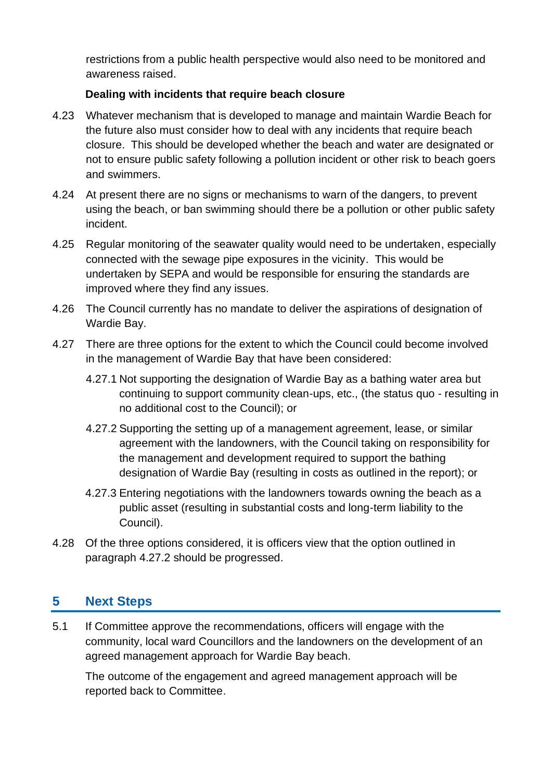restrictions from a public health perspective would also need to be monitored and awareness raised.

### **Dealing with incidents that require beach closure**

- 4.23 Whatever mechanism that is developed to manage and maintain Wardie Beach for the future also must consider how to deal with any incidents that require beach closure. This should be developed whether the beach and water are designated or not to ensure public safety following a pollution incident or other risk to beach goers and swimmers.
- 4.24 At present there are no signs or mechanisms to warn of the dangers, to prevent using the beach, or ban swimming should there be a pollution or other public safety incident.
- 4.25 Regular monitoring of the seawater quality would need to be undertaken, especially connected with the sewage pipe exposures in the vicinity. This would be undertaken by SEPA and would be responsible for ensuring the standards are improved where they find any issues.
- 4.26 The Council currently has no mandate to deliver the aspirations of designation of Wardie Bay.
- 4.27 There are three options for the extent to which the Council could become involved in the management of Wardie Bay that have been considered:
	- 4.27.1 Not supporting the designation of Wardie Bay as a bathing water area but continuing to support community clean-ups, etc., (the status quo - resulting in no additional cost to the Council); or
	- 4.27.2 Supporting the setting up of a management agreement, lease, or similar agreement with the landowners, with the Council taking on responsibility for the management and development required to support the bathing designation of Wardie Bay (resulting in costs as outlined in the report); or
	- 4.27.3 Entering negotiations with the landowners towards owning the beach as a public asset (resulting in substantial costs and long-term liability to the Council).
- 4.28 Of the three options considered, it is officers view that the option outlined in paragraph 4.27.2 should be progressed.

# **5 Next Steps**

5.1 If Committee approve the recommendations, officers will engage with the community, local ward Councillors and the landowners on the development of an agreed management approach for Wardie Bay beach.

The outcome of the engagement and agreed management approach will be reported back to Committee.